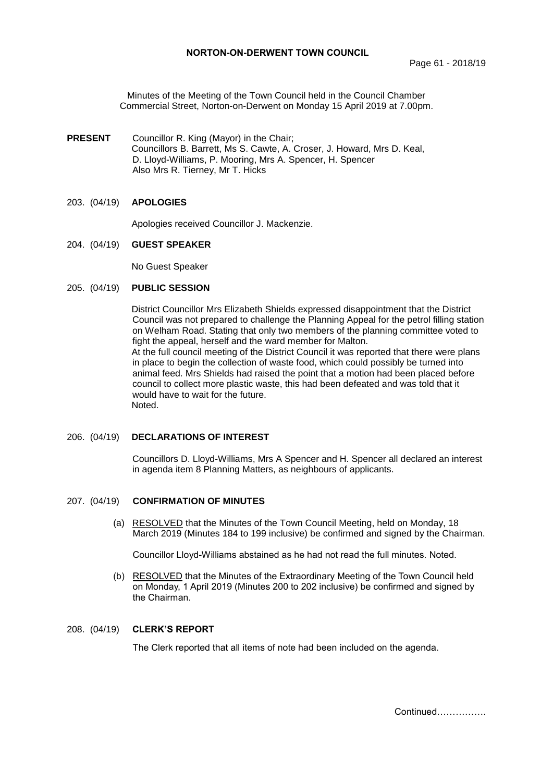Minutes of the Meeting of the Town Council held in the Council Chamber Commercial Street, Norton-on-Derwent on Monday 15 April 2019 at 7.00pm.

**PRESENT** Councillor R. King (Mayor) in the Chair; Councillors B. Barrett, Ms S. Cawte, A. Croser, J. Howard, Mrs D. Keal, D. Lloyd-Williams, P. Mooring, Mrs A. Spencer, H. Spencer Also Mrs R. Tierney, Mr T. Hicks

## 203. (04/19) **APOLOGIES**

Apologies received Councillor J. Mackenzie.

#### 204. (04/19) **GUEST SPEAKER**

No Guest Speaker

### 205. (04/19) **PUBLIC SESSION**

District Councillor Mrs Elizabeth Shields expressed disappointment that the District Council was not prepared to challenge the Planning Appeal for the petrol filling station on Welham Road. Stating that only two members of the planning committee voted to fight the appeal, herself and the ward member for Malton. At the full council meeting of the District Council it was reported that there were plans in place to begin the collection of waste food, which could possibly be turned into animal feed. Mrs Shields had raised the point that a motion had been placed before council to collect more plastic waste, this had been defeated and was told that it would have to wait for the future. Noted.

#### 206. (04/19) **DECLARATIONS OF INTEREST**

Councillors D. Lloyd-Williams, Mrs A Spencer and H. Spencer all declared an interest in agenda item 8 Planning Matters, as neighbours of applicants.

#### 207. (04/19) **CONFIRMATION OF MINUTES**

 (a) RESOLVED that the Minutes of the Town Council Meeting, held on Monday, 18 March 2019 (Minutes 184 to 199 inclusive) be confirmed and signed by the Chairman.

Councillor Lloyd-Williams abstained as he had not read the full minutes. Noted.

 (b) RESOLVED that the Minutes of the Extraordinary Meeting of the Town Council held on Monday, 1 April 2019 (Minutes 200 to 202 inclusive) be confirmed and signed by the Chairman.

### 208. (04/19) **CLERK'S REPORT**

The Clerk reported that all items of note had been included on the agenda.

Continued…………….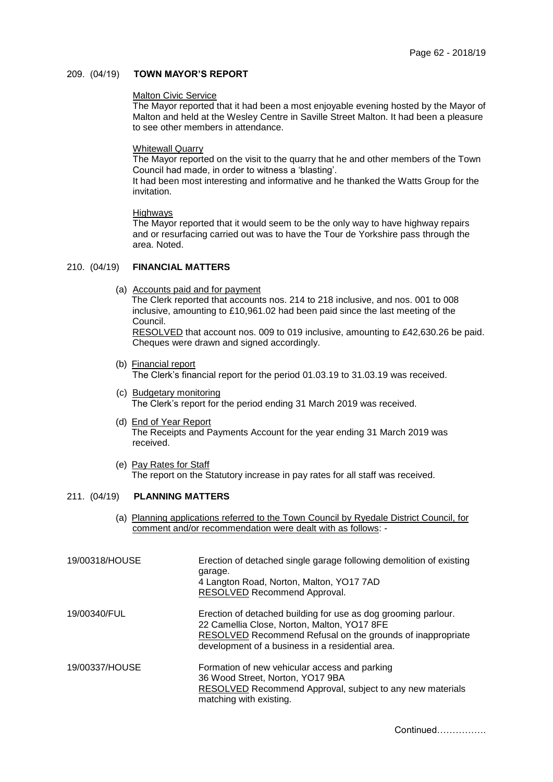#### 209. (04/19) **TOWN MAYOR'S REPORT**

#### Malton Civic Service

The Mayor reported that it had been a most enjoyable evening hosted by the Mayor of Malton and held at the Wesley Centre in Saville Street Malton. It had been a pleasure to see other members in attendance.

#### Whitewall Quarry

The Mayor reported on the visit to the quarry that he and other members of the Town Council had made, in order to witness a 'blasting'.

It had been most interesting and informative and he thanked the Watts Group for the invitation.

#### Highways

The Mayor reported that it would seem to be the only way to have highway repairs and or resurfacing carried out was to have the Tour de Yorkshire pass through the area. Noted.

# 210. (04/19) **FINANCIAL MATTERS**

- (a) Accounts paid and for payment The Clerk reported that accounts nos. 214 to 218 inclusive, and nos. 001 to 008 inclusive, amounting to £10,961.02 had been paid since the last meeting of the Council. RESOLVED that account nos. 009 to 019 inclusive, amounting to £42,630.26 be paid. Cheques were drawn and signed accordingly.
- (b) Financial report The Clerk's financial report for the period 01.03.19 to 31.03.19 was received.
- (c) Budgetary monitoring The Clerk's report for the period ending 31 March 2019 was received.
- (d) End of Year Report The Receipts and Payments Account for the year ending 31 March 2019 was received.
- (e) Pay Rates for Staff The report on the Statutory increase in pay rates for all staff was received.

### 211. (04/19) **PLANNING MATTERS**

(a) Planning applications referred to the Town Council by Ryedale District Council, for comment and/or recommendation were dealt with as follows: -

| 19/00318/HOUSE | Erection of detached single garage following demolition of existing<br>garage.<br>4 Langton Road, Norton, Malton, YO17 7AD<br>RESOLVED Recommend Approval.                                                                      |
|----------------|---------------------------------------------------------------------------------------------------------------------------------------------------------------------------------------------------------------------------------|
| 19/00340/FUL   | Erection of detached building for use as dog grooming parlour.<br>22 Camellia Close, Norton, Malton, YO17 8FE<br>RESOLVED Recommend Refusal on the grounds of inappropriate<br>development of a business in a residential area. |
| 19/00337/HOUSE | Formation of new vehicular access and parking<br>36 Wood Street, Norton, YO17 9BA<br>RESOLVED Recommend Approval, subject to any new materials<br>matching with existing.                                                       |

Continued…………….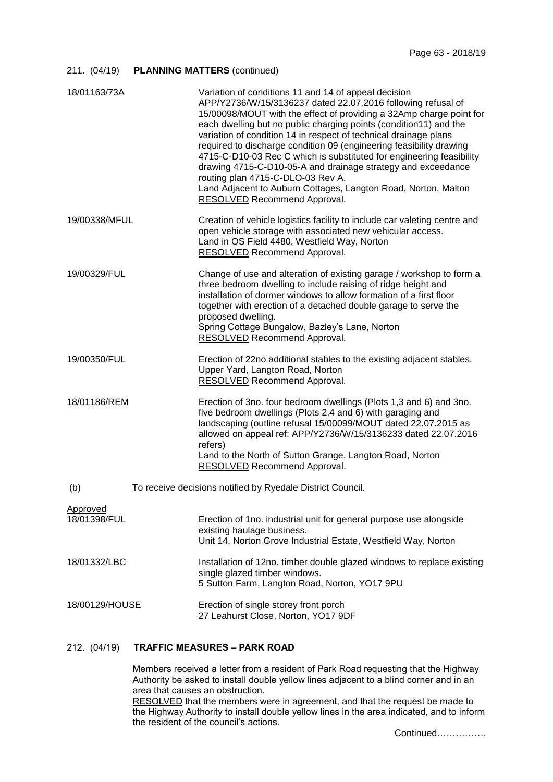### 211. (04/19) **PLANNING MATTERS** (continued)

| 18/01163/73A                    | Variation of conditions 11 and 14 of appeal decision<br>APP/Y2736/W/15/3136237 dated 22.07.2016 following refusal of<br>15/00098/MOUT with the effect of providing a 32Amp charge point for<br>each dwelling but no public charging points (condition11) and the<br>variation of condition 14 in respect of technical drainage plans<br>required to discharge condition 09 (engineering feasibility drawing<br>4715-C-D10-03 Rec C which is substituted for engineering feasibility<br>drawing 4715-C-D10-05-A and drainage strategy and exceedance<br>routing plan 4715-C-DLO-03 Rev A.<br>Land Adjacent to Auburn Cottages, Langton Road, Norton, Malton<br><b>RESOLVED Recommend Approval.</b> |
|---------------------------------|---------------------------------------------------------------------------------------------------------------------------------------------------------------------------------------------------------------------------------------------------------------------------------------------------------------------------------------------------------------------------------------------------------------------------------------------------------------------------------------------------------------------------------------------------------------------------------------------------------------------------------------------------------------------------------------------------|
| 19/00338/MFUL                   | Creation of vehicle logistics facility to include car valeting centre and<br>open vehicle storage with associated new vehicular access.<br>Land in OS Field 4480, Westfield Way, Norton<br><b>RESOLVED</b> Recommend Approval.                                                                                                                                                                                                                                                                                                                                                                                                                                                                    |
| 19/00329/FUL                    | Change of use and alteration of existing garage / workshop to form a<br>three bedroom dwelling to include raising of ridge height and<br>installation of dormer windows to allow formation of a first floor<br>together with erection of a detached double garage to serve the<br>proposed dwelling.<br>Spring Cottage Bungalow, Bazley's Lane, Norton<br><b>RESOLVED Recommend Approval.</b>                                                                                                                                                                                                                                                                                                     |
| 19/00350/FUL                    | Erection of 22no additional stables to the existing adjacent stables.<br>Upper Yard, Langton Road, Norton<br><b>RESOLVED</b> Recommend Approval.                                                                                                                                                                                                                                                                                                                                                                                                                                                                                                                                                  |
| 18/01186/REM                    | Erection of 3no. four bedroom dwellings (Plots 1,3 and 6) and 3no.<br>five bedroom dwellings (Plots 2,4 and 6) with garaging and<br>landscaping (outline refusal 15/00099/MOUT dated 22.07.2015 as<br>allowed on appeal ref: APP/Y2736/W/15/3136233 dated 22.07.2016<br>refers)<br>Land to the North of Sutton Grange, Langton Road, Norton<br><b>RESOLVED Recommend Approval.</b>                                                                                                                                                                                                                                                                                                                |
| (b)                             | To receive decisions notified by Ryedale District Council.                                                                                                                                                                                                                                                                                                                                                                                                                                                                                                                                                                                                                                        |
| <u>Approved</u><br>18/01398/FUL | Erection of 1no. industrial unit for general purpose use alongside<br>existing haulage business.<br>Unit 14, Norton Grove Industrial Estate, Westfield Way, Norton                                                                                                                                                                                                                                                                                                                                                                                                                                                                                                                                |
| 18/01332/LBC                    | Installation of 12no. timber double glazed windows to replace existing<br>single glazed timber windows.<br>5 Sutton Farm, Langton Road, Norton, YO17 9PU                                                                                                                                                                                                                                                                                                                                                                                                                                                                                                                                          |
| 18/00129/HOUSE                  | Erection of single storey front porch<br>27 Leahurst Close, Norton, YO17 9DF                                                                                                                                                                                                                                                                                                                                                                                                                                                                                                                                                                                                                      |

# 212. (04/19) **TRAFFIC MEASURES – PARK ROAD**

Members received a letter from a resident of Park Road requesting that the Highway Authority be asked to install double yellow lines adjacent to a blind corner and in an area that causes an obstruction.

RESOLVED that the members were in agreement, and that the request be made to the Highway Authority to install double yellow lines in the area indicated, and to inform the resident of the council's actions.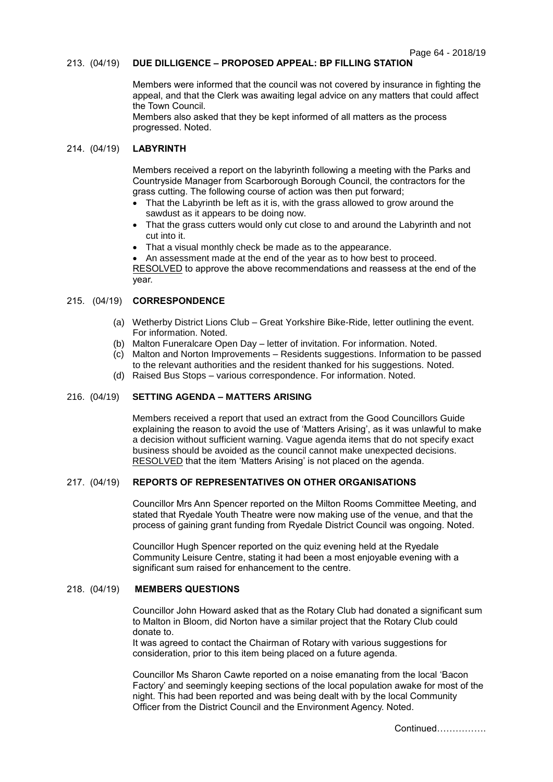### 213. (04/19) **DUE DILLIGENCE – PROPOSED APPEAL: BP FILLING STATION**

Members were informed that the council was not covered by insurance in fighting the appeal, and that the Clerk was awaiting legal advice on any matters that could affect the Town Council.

Members also asked that they be kept informed of all matters as the process progressed. Noted.

#### 214. (04/19) **LABYRINTH**

Members received a report on the labyrinth following a meeting with the Parks and Countryside Manager from Scarborough Borough Council, the contractors for the grass cutting. The following course of action was then put forward;

- That the Labyrinth be left as it is, with the grass allowed to grow around the sawdust as it appears to be doing now.
- That the grass cutters would only cut close to and around the Labyrinth and not cut into it.
- That a visual monthly check be made as to the appearance.

 An assessment made at the end of the year as to how best to proceed. RESOLVED to approve the above recommendations and reassess at the end of the year.

## 215. (04/19) **CORRESPONDENCE**

- (a) Wetherby District Lions Club Great Yorkshire Bike-Ride, letter outlining the event. For information. Noted.
- (b) Malton Funeralcare Open Day letter of invitation. For information. Noted.
- (c) Malton and Norton Improvements Residents suggestions. Information to be passed to the relevant authorities and the resident thanked for his suggestions. Noted.
- (d) Raised Bus Stops various correspondence. For information. Noted.

### 216. (04/19) **SETTING AGENDA – MATTERS ARISING**

Members received a report that used an extract from the Good Councillors Guide explaining the reason to avoid the use of 'Matters Arising', as it was unlawful to make a decision without sufficient warning. Vague agenda items that do not specify exact business should be avoided as the council cannot make unexpected decisions. RESOLVED that the item 'Matters Arising' is not placed on the agenda.

#### 217. (04/19) **REPORTS OF REPRESENTATIVES ON OTHER ORGANISATIONS**

Councillor Mrs Ann Spencer reported on the Milton Rooms Committee Meeting, and stated that Ryedale Youth Theatre were now making use of the venue, and that the process of gaining grant funding from Ryedale District Council was ongoing. Noted.

Councillor Hugh Spencer reported on the quiz evening held at the Ryedale Community Leisure Centre, stating it had been a most enjoyable evening with a significant sum raised for enhancement to the centre.

#### 218. (04/19) **MEMBERS QUESTIONS**

Councillor John Howard asked that as the Rotary Club had donated a significant sum to Malton in Bloom, did Norton have a similar project that the Rotary Club could donate to.

It was agreed to contact the Chairman of Rotary with various suggestions for consideration, prior to this item being placed on a future agenda.

Councillor Ms Sharon Cawte reported on a noise emanating from the local 'Bacon Factory' and seemingly keeping sections of the local population awake for most of the night. This had been reported and was being dealt with by the local Community Officer from the District Council and the Environment Agency. Noted.

Continued…………….